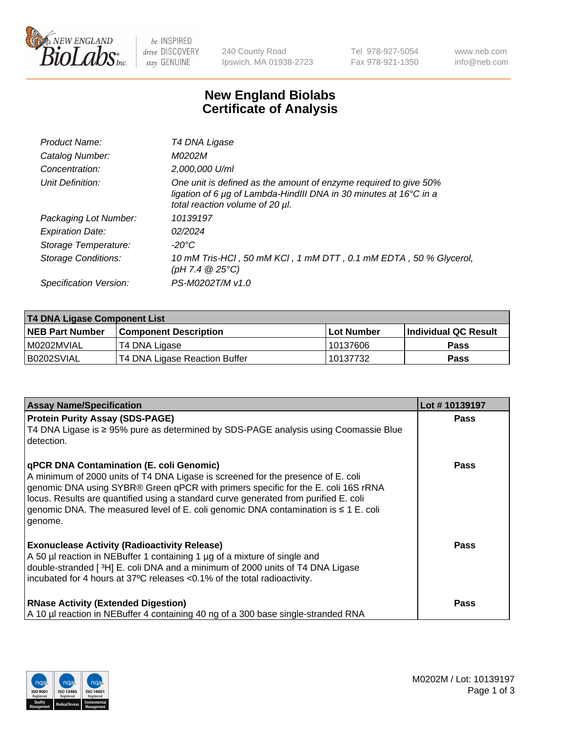

 $be$  INSPIRED drive DISCOVERY stay GENUINE

240 County Road Ipswich, MA 01938-2723 Tel 978-927-5054 Fax 978-921-1350 www.neb.com info@neb.com

## **New England Biolabs Certificate of Analysis**

| Product Name:           | T4 DNA Ligase                                                                                                                                                            |
|-------------------------|--------------------------------------------------------------------------------------------------------------------------------------------------------------------------|
| Catalog Number:         | M0202M                                                                                                                                                                   |
| Concentration:          | 2,000,000 U/ml                                                                                                                                                           |
| Unit Definition:        | One unit is defined as the amount of enzyme required to give 50%<br>ligation of 6 µg of Lambda-HindIII DNA in 30 minutes at 16°C in a<br>total reaction volume of 20 µl. |
| Packaging Lot Number:   | 10139197                                                                                                                                                                 |
| <b>Expiration Date:</b> | 02/2024                                                                                                                                                                  |
| Storage Temperature:    | $-20^{\circ}$ C                                                                                                                                                          |
| Storage Conditions:     | 10 mM Tris-HCl, 50 mM KCl, 1 mM DTT, 0.1 mM EDTA, 50 % Glycerol,<br>(pH 7.4 $@25°C$ )                                                                                    |
| Specification Version:  | PS-M0202T/M v1.0                                                                                                                                                         |

| <b>T4 DNA Ligase Component List</b> |                               |            |                             |  |
|-------------------------------------|-------------------------------|------------|-----------------------------|--|
| <b>NEB Part Number</b>              | <b>Component Description</b>  | Lot Number | <b>Individual QC Result</b> |  |
| I M0202MVIAL                        | T4 DNA Ligase                 | 10137606   | <b>Pass</b>                 |  |
| B0202SVIAL                          | T4 DNA Ligase Reaction Buffer | 10137732   | <b>Pass</b>                 |  |

| <b>Assay Name/Specification</b>                                                                                                                                                                                                                                                                                                                                                                             | Lot #10139197 |
|-------------------------------------------------------------------------------------------------------------------------------------------------------------------------------------------------------------------------------------------------------------------------------------------------------------------------------------------------------------------------------------------------------------|---------------|
| <b>Protein Purity Assay (SDS-PAGE)</b><br>T4 DNA Ligase is ≥ 95% pure as determined by SDS-PAGE analysis using Coomassie Blue<br>detection.                                                                                                                                                                                                                                                                 | <b>Pass</b>   |
| qPCR DNA Contamination (E. coli Genomic)<br>A minimum of 2000 units of T4 DNA Ligase is screened for the presence of E. coli<br>genomic DNA using SYBR® Green qPCR with primers specific for the E. coli 16S rRNA<br>locus. Results are quantified using a standard curve generated from purified E. coli<br>genomic DNA. The measured level of E. coli genomic DNA contamination is ≤ 1 E. coli<br>genome. | <b>Pass</b>   |
| <b>Exonuclease Activity (Radioactivity Release)</b><br>A 50 µl reaction in NEBuffer 1 containing 1 µg of a mixture of single and<br>double-stranded [3H] E. coli DNA and a minimum of 2000 units of T4 DNA Ligase<br>incubated for 4 hours at 37°C releases <0.1% of the total radioactivity.                                                                                                               | <b>Pass</b>   |
| <b>RNase Activity (Extended Digestion)</b><br>A 10 µl reaction in NEBuffer 4 containing 40 ng of a 300 base single-stranded RNA                                                                                                                                                                                                                                                                             | <b>Pass</b>   |

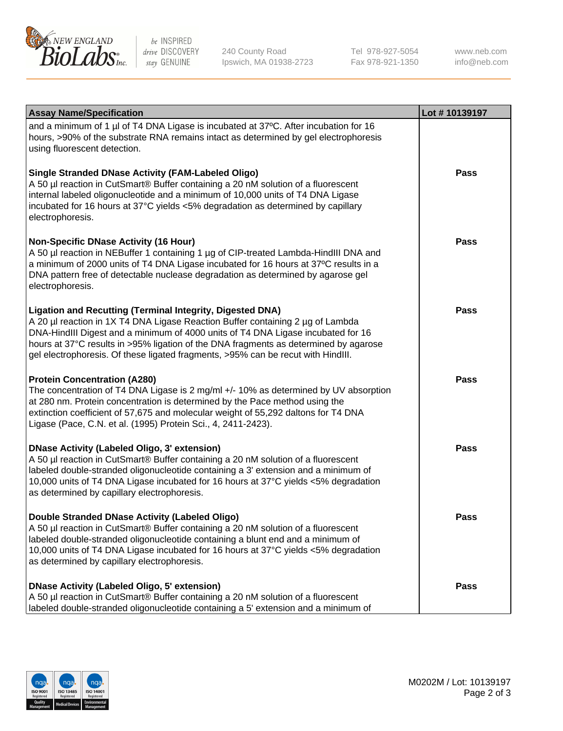

be INSPIRED drive DISCOVERY stay GENUINE

240 County Road Ipswich, MA 01938-2723 Tel 978-927-5054 Fax 978-921-1350 www.neb.com info@neb.com

| <b>Assay Name/Specification</b>                                                                                                                                                                                                                                                                                                                                                                                    | Lot #10139197 |
|--------------------------------------------------------------------------------------------------------------------------------------------------------------------------------------------------------------------------------------------------------------------------------------------------------------------------------------------------------------------------------------------------------------------|---------------|
| and a minimum of 1 µl of T4 DNA Ligase is incubated at 37°C. After incubation for 16<br>hours, >90% of the substrate RNA remains intact as determined by gel electrophoresis<br>using fluorescent detection.                                                                                                                                                                                                       |               |
| <b>Single Stranded DNase Activity (FAM-Labeled Oligo)</b><br>A 50 µl reaction in CutSmart® Buffer containing a 20 nM solution of a fluorescent<br>internal labeled oligonucleotide and a minimum of 10,000 units of T4 DNA Ligase<br>incubated for 16 hours at 37°C yields <5% degradation as determined by capillary<br>electrophoresis.                                                                          | Pass          |
| <b>Non-Specific DNase Activity (16 Hour)</b><br>A 50 µl reaction in NEBuffer 1 containing 1 µg of CIP-treated Lambda-HindIII DNA and<br>a minimum of 2000 units of T4 DNA Ligase incubated for 16 hours at 37°C results in a<br>DNA pattern free of detectable nuclease degradation as determined by agarose gel<br>electrophoresis.                                                                               | Pass          |
| <b>Ligation and Recutting (Terminal Integrity, Digested DNA)</b><br>A 20 µl reaction in 1X T4 DNA Ligase Reaction Buffer containing 2 µg of Lambda<br>DNA-HindIII Digest and a minimum of 4000 units of T4 DNA Ligase incubated for 16<br>hours at 37°C results in >95% ligation of the DNA fragments as determined by agarose<br>gel electrophoresis. Of these ligated fragments, >95% can be recut with HindIII. | Pass          |
| <b>Protein Concentration (A280)</b><br>The concentration of T4 DNA Ligase is 2 mg/ml +/- 10% as determined by UV absorption<br>at 280 nm. Protein concentration is determined by the Pace method using the<br>extinction coefficient of 57,675 and molecular weight of 55,292 daltons for T4 DNA<br>Ligase (Pace, C.N. et al. (1995) Protein Sci., 4, 2411-2423).                                                  | <b>Pass</b>   |
| <b>DNase Activity (Labeled Oligo, 3' extension)</b><br>A 50 µl reaction in CutSmart® Buffer containing a 20 nM solution of a fluorescent<br>labeled double-stranded oligonucleotide containing a 3' extension and a minimum of<br>10,000 units of T4 DNA Ligase incubated for 16 hours at 37°C yields <5% degradation<br>as determined by capillary electrophoresis.                                               | <b>Pass</b>   |
| <b>Double Stranded DNase Activity (Labeled Oligo)</b><br>A 50 µl reaction in CutSmart® Buffer containing a 20 nM solution of a fluorescent<br>labeled double-stranded oligonucleotide containing a blunt end and a minimum of<br>10,000 units of T4 DNA Ligase incubated for 16 hours at 37°C yields <5% degradation<br>as determined by capillary electrophoresis.                                                | Pass          |
| <b>DNase Activity (Labeled Oligo, 5' extension)</b><br>A 50 µl reaction in CutSmart® Buffer containing a 20 nM solution of a fluorescent<br>labeled double-stranded oligonucleotide containing a 5' extension and a minimum of                                                                                                                                                                                     | Pass          |